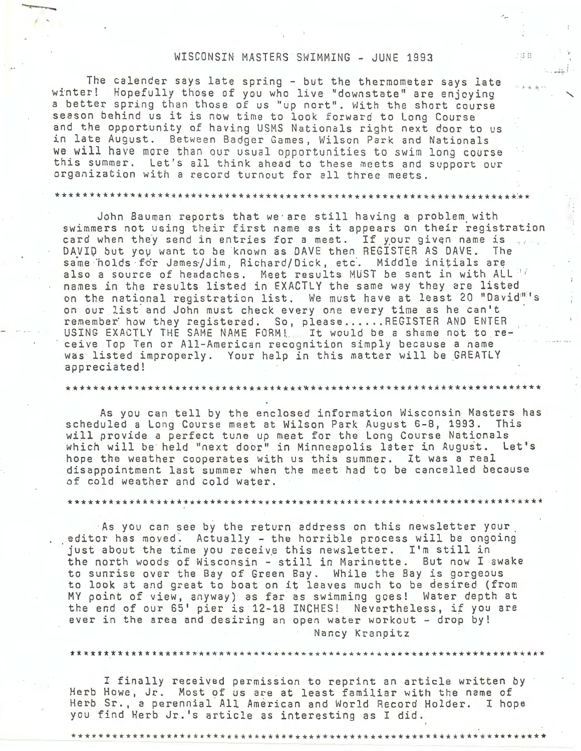## WISCONSIN MASTERS SWIMMING - JUNE 1993

្យ ខេ

The calender says late spring - but the thermometer says late winter! Hopefully those of you who live "downstate" are enjoying a better spring than those of us "up nort". With the short course season behind us it is now time to look forward to Long Course and the opportunity of having USMS Nationals right next door to us in late August. Between Badger Games, Wilson Park and Nationals we will have more than our usual opportunities to swim long course this summer. Let's all think ahead to these meets and support our organization with a record turnout for all three meets.

*I* •

\* \* \* \* \* \* \* \* \* \* \* \* \* \* \* \* \* \* \* \* \* \* \* \* \* \* \* \* \* \* \* \* \* \* \* \* \* \* \* \* \* \* \* \* \* \* \* \* \* \* \* \* \* \* \* \* \* \* \* \* \* \* \* \* \* \* \* \*:\* \*

John Bauman reports that we · are still having a problem\_ with swimmers not using their first name as it appears on their registration card when they send in entries for a meet. If your given name is DAVID but you want to be known as DAVE then REGISTER AS DAVE. The same holds for James/Jim, Richard/Dick, etc. Middle initials are also a source of headaches. Meet results MUST be sent in with ALL 11 names in the results listed in EXACTLY the same way they are listed on the national registration list. We must have at least 20 "David"'s on our list and John must check every one every time as he can't<br>remember how they registered. So, please......REGISTER AND ENTER USING EXACTLY THE SAME NAME FORM!. It would be a shame not to receive Top Ten or All-American recognition simply because a name was listed improperly. Your help in this matter will be GREATLY appreciated!

\*\*\*\*\*\*\*\*\*\*\*\*\*\*\*\*\*\*\*\*\*\*\*\*\*\*\*\*\*\*\*\*\*\*\*~\*\*\*\*\*\*\*\*\*\*\*\*\*\*\*\*\*\*\*\*\*\*\*\*\*\*\*\*\*\*\*\*\*\*

As you can tell by the enclosed information Wisconsin Masters has scheduled a Long Course meet at Wilson Park August 6-8, 1993. This will provide a perfect tune up meet for the Long Course Nationals which will be held "next door" in Minneapolis later in August. Let's hope the weather cooperates with us this summer. It was a real disappointment last summer when the meet had to be cancelled because of cold weather and cold water.

\*\*\*\*\*\*\*\*\*\*\*\*\*\*\*\*\*\*\*\*\*\*\*\*\*\*\*\*\*\*\*\*\*\*\*\*\*\*\*\*\*\*\*\*\*\*\*\*\*\*\*\*\*\*\*\*\*\*\*\*\*\*\*\*\*\*\*\*\*\*

As you can see by the return address on this newsletter your . editor has moved~ Actually - the horrible process will be ongoing just about the time you receive this newsletter. I'm still in the north woods of Wisconsin - still in Marinette. But now I awake to sunrise over the Bay of Green Bay. While the Bay is gorgeous to look at and great to boat on it leaves much to be desired (from MY point of view, anyway) as far as swimming goes! Water depth at the end of our 65' pier is 12-18 INCHES! Nevertheless, if you are ever in the area and desiring an open water workout - drop by! Nancy Kranpitz

I finally received permission to reprint an article written by Herb Howe, Jr. Most of us are at least familiar with the name of Herb Sr., a perennial All American and World Record Holder. I hope you find Herb Jr.'s article as interesting as I did.

\*\*\*\* \*\* \* \*\*\*\* \*\* \*\*\*\*\* \*\*\*\*\*\*\*\* \*\* \*\*\*\*\*\*\* \* \*\*\*\*\*\*\*\*\*\*\*\*\*\*\*\*\*\*\*\*\*\*\*\* \*\* \*\*\*\*\*\*\*\*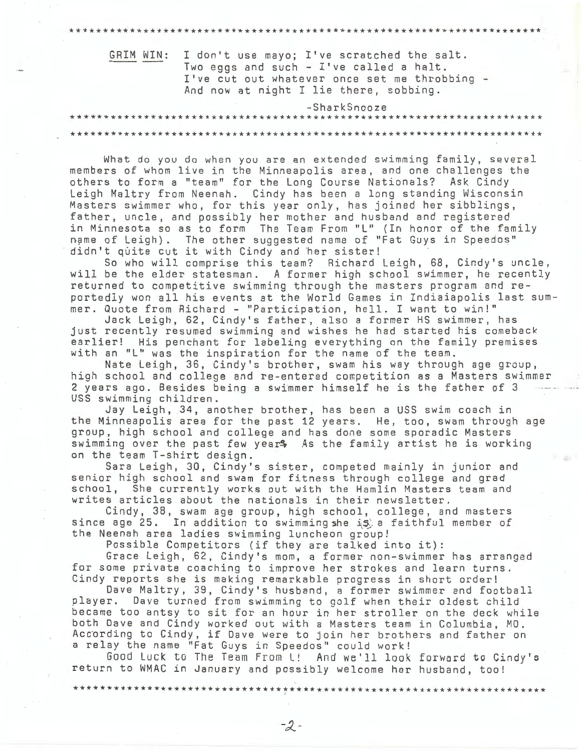| GRIM WIN: I don't use mayo; I've scratched the salt.<br>Two eggs and such - I've called a halt.<br>I've cut out whatever once set me throbbing -<br>And now at night I lie there, sobbing. |  |
|--------------------------------------------------------------------------------------------------------------------------------------------------------------------------------------------|--|
| -SharkSnooze                                                                                                                                                                               |  |
|                                                                                                                                                                                            |  |
|                                                                                                                                                                                            |  |

What do you do when you are an extended swimming family, several members of whom live in the Minneapolis area, and one challenges the others to form a "team" for the Long Course Nationals? Ask Cindy Leigh Maltry from Neenah. Cindy has been a long standing Wisconsin Masters swimmer who, for this year only, has joined her sibblings, father, uncle, and possibly her mother and husband and registered in Minnesota so as to form The Team From "L" (In honor of the family name of Leigh). The other suggested name of "Fat Guys in Speedos" didn't quite cut it with Cindy and her sister!

So who will comprise this team? Richard Leigh, 68, Cindy's uncle, will be the elder statesman. A former high school swimmer, he recently returned to competitive swimming through the masters program and reportedly won all his events at the World Games in Indiaiapolis last summer. Quote from Richard - "Participation, hell. I want to win!"

Jack Leigh, 62, Cindy's father, also a former HS swimmer, has just recently resumed swimming and wishes he had started his comeback earlier! His penchant for labeling everything on the family premises with an "L" was the inspiration for the name of the team.

Nate Leigh, 36, Cindy's brother, swam his way through age group, high school and college and re-entered competition as a Masters swimmer 2 years ago. Besides being a swimmer himself he is the father of 3 USS swimming children.

Jay Leigh, 34, another brother, has been a USS swim coach in the Minneapolis area for the past 12 years. He, too, swam through age group, high school and college and has done some sporadic Masters swimming over the past few years As the family artist he is working on the team T-shirt design.

Sara Leigh, 30, Cindy's sister, competed mainly in junior and senior high school and swam for fitness through college and grad school, She currently works out with the Hamlin Masters team and writes articles about the nationals in their newsletter.

Cindy, 38, swam age group, high school, college, and masters since age 25. In addition to swimming she is a faithful member of the Neenah area ladies swimming luncheon group!

Possible Competitors (if they are talked into it):

Grace Leigh, 62, Cindy's mom, a former non-swimmer has arranged for some private coaching to improve her strokes and learn turns. Cindy reports she is making remarkable progress in short order!

Dave Maltry, 39, Cindy's husband, a former swimmer and football player. Dave turned from swimming to golf when their oldest child became too antsy to sit for an hour in her stroller on the deck while both Dave and Cindy worked out with a Masters team in Columbia, MO. According to Cindy, if Dave were to join her brothers and father on a relay the name "Fat Guys in Speedos" could work!

Good Luck to The Team From L! And we'll look forward to Cindy's return to WMAC in January and possibly welcome her husband, too!

 $-2-$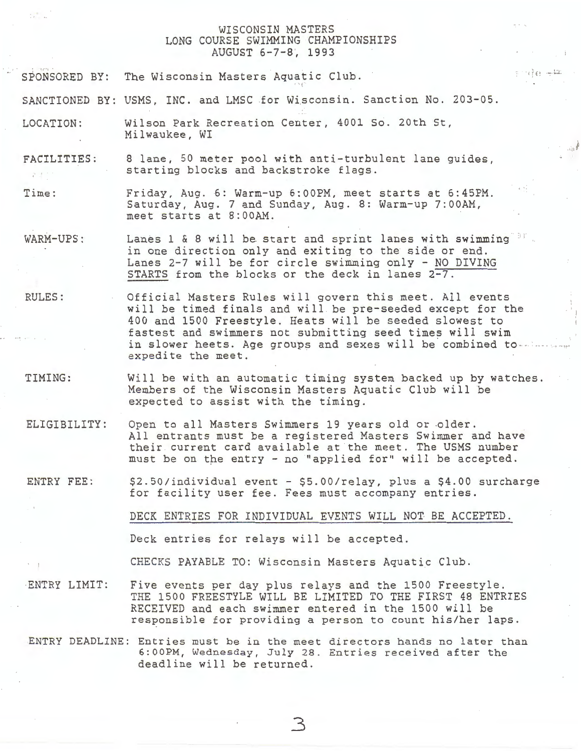## WISCONSIN MASTERS LONG COURSE SWIMMING CHAMPIONSHIPS AUGUST 6-7-8, 1993

 $\frac{1}{2}$  )  $\frac{1}{2}$  (  $\frac{1}{2}$  )  $\frac{1}{2}$  (  $\frac{1}{2}$  )  $\frac{1}{2}$ 

SPONSORED BY: The Wisconsin Masters Aquatic Club.

SANCTIONED BY: USMS, INC. and LMSC for Wisconsin. Sanction No. 203-05.

LOCATION: Wilson Park Recreation Center, 4001 So. 20th St, Milwaukee, WI

FACILITIES: 8 lane, 50 meter pool with anti-turbulent lane guides, starting blocks and backstroke flags.  $p\rightarrow \infty$ 

Time: Friday, Aug. 6: Warm-up 6:00PM, meet starts at 6:45PM. Saturday, Aug. 7 and Sunday, Aug. 8: Warm-up 7:00AM, meet starts at 8:00AM.

WARM-UPS: Lanes 1 & 8 will be start and sprint lanes with swimming  $\mathbb{R}^n$ . in one direction only and exiting to the side or end. Lanes 2-7 will be for circle swimming only - NO DIVING STARTS from the blocks or the deck in lanes 2-7.

RULES: Official Masters Rules will govern this meet. All events will be timed finals and will be pre-seeded except for the 400 and 1500 Freestyle. Heats will be seeded slowest to fastest and swimmers not submitting seed times will swim in slower heets. Age groups and sexes will be combined to ---

TIMING: Will be with an automatic timing system backed up by watches. Members of the Wisconsin Masters Aquatic Club will be expected to assist with the timing.

ELIGIBILITY: Open to all Masters Swimmers 19 years old or older. All entrants must be a registered Masters Swimmer and have their current card available at the meet. The USMS number must be on the entry - no "applied for" will be accepted.

ENTRY FEE: \$2.50/individual event - \$5.00/relay, plus a \$4.00 surcharge for facility user fee. Fees must accompany entries.

DECK ENTRIES FOR INDIVIDUAL EVENTS WILL NOT BE ACCEPTED.

Deck entries for relays will be accepted.

CHECKS PAYABLE TO: Wisconsin Masters Aquatic Club.

ENTRY LIMIT: Five events per day plus relays and the 1500 Freestyle. THE 1500 FREESTYLE WILL BE LIMITED TO THE FIRST 48 ENTRIES RECEIVED and each swimmer entered in the 1500 will be responsible for providing a person to count his/her laps.

ENTRY DEADLINE: Entries must be in the meet directors hands no later than 6:00PM, Wednesday, July 28. Entries received after the deadline will be returned.

3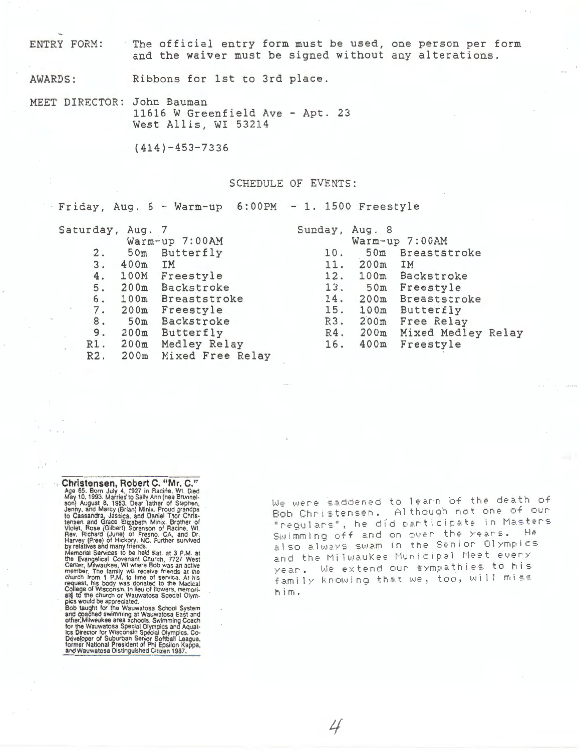ENTRY FORM: The official entry form must be used, one person per form and the waiver must be signed without any alterations.

AWARDS: Ribbons for 1st to 3rd place.

**MEET** DIRECTOR: John Bauman 11616 W Greenfield Ave - Apt. 23 West Allis, WI 53214

(414)-453-7336

### SCHEDULE OF EVENTS:

 $-Friday$ , Aug.  $6 - Warm-up$   $6:00PM - 1$ . 1500 Freestyle

| Saturday, Aug. |           |                     |
|----------------|-----------|---------------------|
|                |           | Warm-up 7:00AM      |
| 2.             |           | 50m Butterfly       |
| 3.             | $400m$ IM |                     |
|                |           | 4. 100M Freestyle   |
|                |           | 5. 200m Backstroke  |
|                | 6. 100m   | <b>Breaststroke</b> |
|                |           | 7. 200m Freestyle   |
| 8.             |           | 50m Backstroke      |
| 9.             | 200m      | Butterfly           |
|                | R1. 200m  | Medley Relay        |
| R2.            | 200m      | Mixed Free Relay    |
|                |           |                     |

| Sunday, | Aug.<br>- 8 |                     |  |
|---------|-------------|---------------------|--|
|         |             | Warm-up 7:00AM      |  |
| 10.     | 50m         | Breaststroke        |  |
|         | 11. 200m    | IM                  |  |
|         |             | 12. 100m Backstroke |  |
| 13.     |             | 50m Freestyle       |  |
|         | 14. 200m    | Breaststroke        |  |
|         | 15. 100m    | Butterfly           |  |
|         | R3. 200m    | Free Relay          |  |
|         | R4. 200m    | Mixed Medley Relay  |  |
| 16.     | 400m        | Freestyle           |  |
|         |             |                     |  |

**Christensen, Robert C. "Mr. C."**<br>Age 65. Born July 4, 1927 in Racine, WI. Died<br>May 10.1993. Married to Sally Ann (nee Brunnelson) August 8, 1953. Dear father of Stephen, Jenny, and Marcy (Brian) Minix. Proud grandpa<br>books

 $\cdot$   $\cdot$ 

Developer of Suburban Senior Softball League,<br>former National President of Phi Epsilon Kappa,<br>and Wauwatosa Distinguished Citizen 1987.

We were saddened to learn of the death of Bob Christensen. Although not one of our "regulars", he did participate in Masters Swimming off and on over the years. He also always swam in the Senior Olympics and the Milwaukee Municipal Meet every year. We extend our sympathies to his family knowing that we, too, will miss him.

 $\cancel{L}$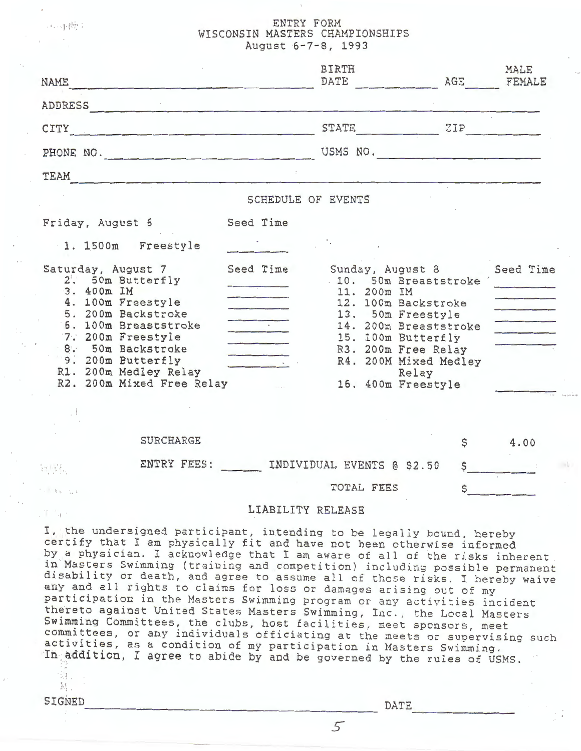## ENTRY FORM WISCONSIN MASTERS CHAMPIONSHIPS August 6-7-8, 1993

| NAME                                                                                                                                                                                                                                                                                                        | <b>BIRTH</b><br>DATE                                                                                                                                                                                                                | AGE | MALE<br>FEMALE |
|-------------------------------------------------------------------------------------------------------------------------------------------------------------------------------------------------------------------------------------------------------------------------------------------------------------|-------------------------------------------------------------------------------------------------------------------------------------------------------------------------------------------------------------------------------------|-----|----------------|
| ADDRESS                                                                                                                                                                                                                                                                                                     |                                                                                                                                                                                                                                     |     |                |
| CITY<br>the control of the control of the control of the control of the control of the control of                                                                                                                                                                                                           | STATE                                                                                                                                                                                                                               | ZIP |                |
| PHONE NO.                                                                                                                                                                                                                                                                                                   | USMS NO.                                                                                                                                                                                                                            |     |                |
| TEAM                                                                                                                                                                                                                                                                                                        |                                                                                                                                                                                                                                     |     |                |
|                                                                                                                                                                                                                                                                                                             | SCHEDULE OF EVENTS                                                                                                                                                                                                                  |     |                |
| Seed Time<br>Friday, August 6<br>1. 1500m Freestyle                                                                                                                                                                                                                                                         |                                                                                                                                                                                                                                     |     |                |
| Seed Time<br>Saturday, August 7<br>2. 50m Butterfly<br>3. 400m IM<br>4. 100m Freestyle<br>5. 200m Backstroke<br>6. 100m Breaststroke<br>7. 200m Freestyle<br>8. 50m Backstroke<br>9. 200m Butterfly<br>R1. 200m Medley Relay<br>R2. 200m Mixed Free Relay                                                   | Sunday, August 8<br>. 10. 50m Breaststroke<br>11. 200m IM<br>12. 100m Backstroke<br>13. 50m Freestyle<br>14. 200m Breaststroke<br>15. 100m Butterfly<br>R3. 200m Free Relay<br>R4. 200M Mixed Medley<br>Relay<br>16. 400m Freestyle |     | Seed Time      |
| <b>SURCHARGE</b>                                                                                                                                                                                                                                                                                            |                                                                                                                                                                                                                                     | \$  | 4.00           |
| ENTRY FEES:<br>54만년.                                                                                                                                                                                                                                                                                        | INDIVIDUAL EVENTS @ \$2.50                                                                                                                                                                                                          | \$  |                |
| $1.138 - 1.4$                                                                                                                                                                                                                                                                                               | TOTAL FEES                                                                                                                                                                                                                          |     |                |
| 21 Sec.                                                                                                                                                                                                                                                                                                     | LIABILITY RELEASE                                                                                                                                                                                                                   |     |                |
| I, the undersigned participant, intending to be legally bound, hereby<br>certify that I am physically fit and have not been otherwise informed<br>by a physician. I acknowledge that I am aware of all of the risks inherent<br>in Masters Swimming (training and competition) including possible permanent |                                                                                                                                                                                                                                     |     |                |

in Masters Swimming (training and competition) including possible permanent disability or death, and agree to assume all of those risks. I hereby waive any and all rights to claims for loss or damages arising out of my participation in the Masters Swimming program or any activities incident thereto against United States Masters Swimming, Inc., the Local Masters Swimming Committees, the clubs, host facilities, meet sponsors, meet committees, or any individuals officiating at the meets or supervising such activities, as a condition of my participation in Masters Swimming. In addition, I agree to abide by and be governed by the rules of USMS.

SIGNED DATE

**33.** 

4. 中做: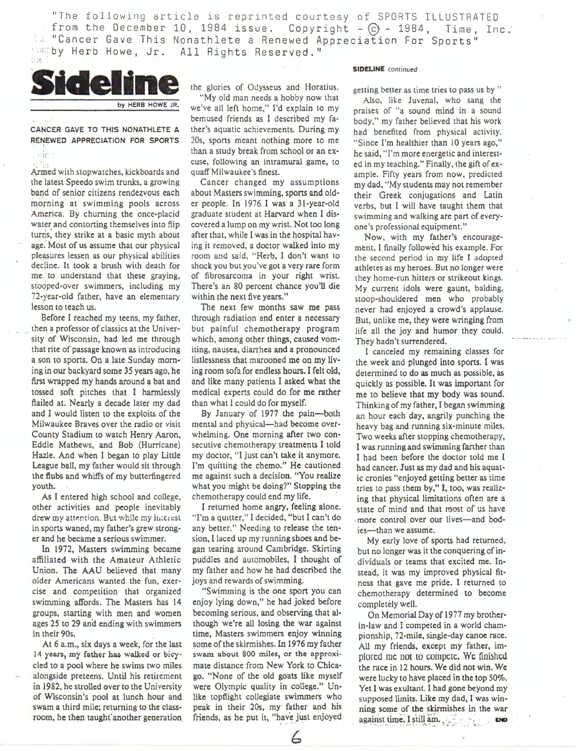"The following article is reprinted courtesy of SPORTS ILLUSTRATED from the December 10, 1984 issue. Copyright  $-G - 1984$ , Time, Inc. "Cancer Gave This Nonathlete a Renewed Appreciation For Sports" *Camby Herb Howe, Jr. All Rights Reserved.* "



CANCER GAVE TO THIS NONATHLETE A RENEWED APPRECIATION FOR SPORTS

. Hic

Armed with stopwatches, kickboards and the latest Speedo swim trunks, a growing band of senior citizens rendezvous each morning at swimming pools across America. By churning the once-placid water and contorting themselves into flip turns; they strike at a basic myth about age.' Most of us assume that our physical pleasures lessen as our physical abilities decline. It took a brush with death for me to understand that these graying, stooped-over swimmers, including my 72-year-old father, have an elementary lesson to teach us.

Before I reached my teens, my father, then a professor of classics at the University of Wisconsin, had led me through that rite of passage known as introducing a son to sports. On a late Sunday morn• ing in our backyard some 35 years ago, he first wrapped my hands around a bat and tossed soft pitches that I harmlessly flailed at. Nearly a decade later my dad and I would listen to the exploits of the Milwaukee Braves over the radio or visit County Stadium to watch Henry Aaron, Eddie Mathews, and Bob (Hurricane) Hazle. And when I began to play Little League ball, my father would sit through the flubs and whiffs of my butterfingered youth.

As I entered high school and college, other activities and people inevitably drew my attention. But while my interest in sports waned, my father's grew stronger and he became a serious swimmer.

In 1972, Masters swimming became affiliated with the Amateur Athletic Union. The AAU believed that many older Americans wanted the fun, exercise and competition that organized swimming affords. The Masters has 14 groups, starting with men and women ages 25 to 29 and ending with swimmers in their 90s.

At 6 a.m., six days a week, for the last 14 years, my father has walked or bicycled to a pool where he swims two miles alongside preteens. Until his retirement in 1982, he strolled over to the University of Wisconsin's pool at lunch hour and swam a third mile; returning to the classroom, he then taught another generation

the glories of Odysseus and Horatius. "My old man needs a hobby now that we've all left home," I'd explain to my bemused friends as I described my father's aquatic achievements. During my 20s, sports meant nothing more to me than a study break from school or an excuse, following an intramural game, to quaff Milwaukee 's finest.

Cancer changed my assumptions about Masters swimming, sports and old· er people. In 1976 I was a 31-year-old graduate student at Harvard when I discovered a lump on my wrist. Not too long after that, while I was in the hospital having it removed, a doctor walked into my room and said, "Herb, I don't want to shock you but you've got a very rare form of fibrosarcoma in your right wrist. There's an 80 percent chance you'll die within the next five years."

The next few months saw me pass through radiation and enter a necessary but painful chemotherapy program which, among other things, caused vomiting, nausea, diarrhea and a pronounced listlessness that marooned me on my living room sofa for endless hours. I felt old, and like many patients I asked what the medical experts could do for me rather than what I could do for myself.

By January of 1977 the pain-both mental and physical-had become overwhelming. One morning after two con· secutive chemotherapy treatments I told my doctor, "I just can't take it anymore. I'm quitting the chemo." He cautioned me against such a decision. "You realize what you might be doing?" Stopping the chemotherapy could end my life. ·

I returned home angry, **feeling** alone. 'Tm a quitter," I decided, "but I can't do any better." Needing to release the tension, I laced up my running shoes and began tearing around Cambridge. Skirting puddles and automobiles, I thought of my father and how he had described the joys and rewards of swimming.

"Swimming is the one sport you can enjoy lying down," he had joked before becoming serious, and observing that al· though we're all losing the war against time, Masters swimmers enjoy winning some of the skirmishes. In 1976 my father swam about 800 miles, or the approximate distance from New York to Chicago. "None of the old goats like myself were Olympic quality in college." Unlike topflight collegiate swimmers who peak in their 20s, my father and his friends, as he put it, "have just enjoyed

6

#### **SIDELINE** *continued*

getting better as time tries to pass us by "

Also, like Juvenal, who sang the praises of "a sound mind in a sound body," my father believed that his work had benefited from physical activity. "Since l'm healthier than 10 years ago," he said, "I'm more energetic and interested in my teaching." Finally, the gift of example. Fifty years from now, predicted my dad, "My students may not remember their Greek conjugations and Latin verbs, but I will have taught them that swimming and walking are part of everyone 's professional equipment."

Now, with my father's encouragement. I finally followed his example. For the second period in my life I adopted athletes as my heroes. But no longer were they home-run hitters or strikeout kings. My current idols were gaunt, balding, stoop-shouldered men who probably never had enjoyed a crowd's applause. But, unlike me, they were wringing from life all the joy and humor they could. They hadn't surrendered.

I canceled my remaining classes for the week and plunged into sports. I was determined to do as much as possible, as quickly as possible. It was important for me to believe that my body was sound. Thinking of my father, I began swimming an hour each day, angrily punching the heavy bag and running six-minute miles. Two weeks after stopping chemotherapy, I was running and swimming farther than I had been before the doctor told me I had cancer. Just as my dad and his aquatic cronies "enjoyed getting better as time tries to pass them by," I, too, was realiz· ing that physical limitations often are a state of mind and that most of us have more control over our lives-and bodies-than we assume.

**My** early love of sports had returned, but no longer was it the conquering of individuals or teams that excited me. Instead, it was my improved physical fitness that gave me pride. I returned to chemotherapy determined to become completely well.

On Memorial Day of 1977 my brotherin-law and I competed in a world championship, 72-mile, single-day canoe race. All my friends, except my father, im· plored me not to compete. We finished the race in 12 hours. We did not win. We were lucky to have placed in the top 50%. Yet I was exultant. I had gone beyond my supposed limits. Like my dad, I was winning some of the skirmishes in the war against time. I still am. . . . . . . . . . . **EX**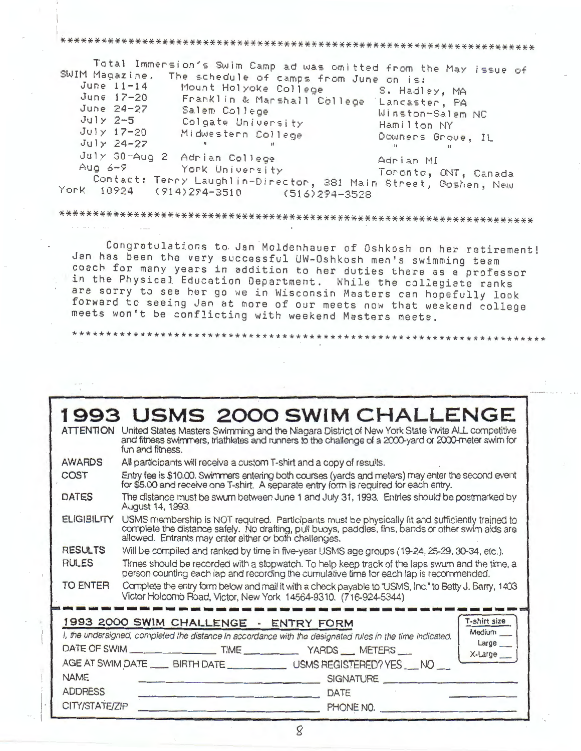## 

Total Immersion's Swim Camp ad was omitted from the May issue of SWIM Magazine. The schedule of camps from June on is: June  $11-14$ Mount Holyoke College S. Hadley, MA June 17-20 Franklin & Marshall College Lancaster, PA June 24-27 Salem College Winston-Salem NC  $July 2-5$ Colgate University Hamilton NY  $July$   $17-20$ Midwestern College Downers Grove, IL  $July 24-27$  $\mathbf{R}$  $\ddot{\phantom{1}}$ July 30-Aug 2 Adrian College Adrian MI Aug  $6-9$ York University Toronto, ONT, Canada Contact: Terry Laughlin-Director, 381 Main Street, Goshen, New York  $(914)294 - 3510$ 10924  $(516)294 - 3528$ 

# 

Congratulations to Jan Moldenhauer of Oshkosh on her retirement! Jan has been the very successful UW-Oshkosh men's swimming team coach for many years in addition to her duties there as a professor in the Physical Education Department. While the collegiate ranks are sorry to see her go we in Wisconsin Masters can hopefully look forward to seeing Jan at more of our meets now that weekend college meets won't be conflicting with weekend Masters meets.

### **1993 USMS 2000 SWIM CHALLENGE** ATTENTION United States Masters Swimming and the Niagara District of New York State invite ALL competitive and fitness swimmers, triathletes and runners to the challenge of a 2000-yard or 2000-meter swim for fun and fitness. **AWARDS** All participants will receive a custom T-shirt and a copy of results. COST Entry fee is \$10.00. Swimmers entering both courses (yards and meters) may enter the second event for \$5.00 and receive one T-shirt. A separate entry form is required for each entry. **DATES** The distance must be swum between June 1 and July 31, 1993. Entries should be postmarked by August 14, 1993. **ELIGIBILITY** USMS membership is NOT required. Participants must be physically fit and sufficiently trained to complete the distance safely. No drafting, pull buoys, paddles, fins, bands or other swim aids are allowed. Entrants may enter either or both challenges. **RESULTS** Will be compiled and ranked by time in five-year USMS age groups (19-24, 25-29, 30-34, etc.). **RULES** Times should be recorded with a stopwatch. To help keep track of the laps swum and the time, a person counting each lap and recording the cumulative time for each lap is recommended. **TO ENTER** Complete the entry form below and mail it with a check payable to "USMS, Inc." to Betty J. Barry, 1403 Victor Holcomb Road, Victor, New York 14564-9310. (716-924-5344) 1993 2000 SWIM CHALLENGE - ENTRY FORM T-shirt size I, the undersigned, completed the distance in accordance with the designated rules in the time indicated. Medium Large DATE OF SWIM TIME YARDS METERS X-Large AGE AT SWIM DATE \_\_\_\_\_ BIRTH DATE \_\_\_\_\_\_\_\_\_\_\_\_\_\_ USMS REGISTERED? YES \_\_\_ NO **NAME SIGNATURE ADDRESS** DATE CITY/STATE/ZIP PHONE NO.

 $\mathcal{S}$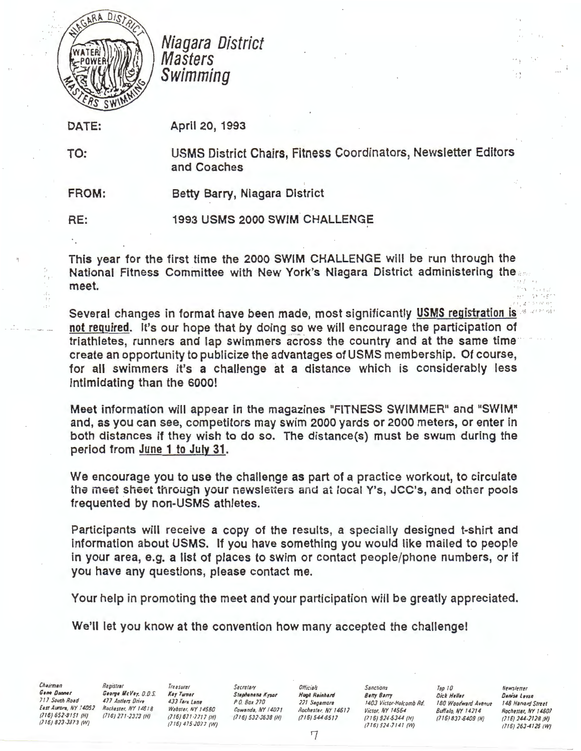

Niagara District **Masters** Swimming

DATE:

TO:

April 20, 1993

USMS District Chairs, Fitness Coordinators, Newsletter Editors and Coaches

FROM: Betty Barry, Niagara District

RE: 1993 USMS 2000 SWIM. CHALLENGE

This year for the first time the 2000 **SWIM** CHALLENGE will be run through the National Fitness Committee with New York's Niagara District administering the meet.

Several changes in format have been made, most significantly USMS registration is not required. It's our hope that by doing so we will encourage the participation of triathletes, runners and lap swimmers across the country and at the same time create an opportunity to publicize the advantages of USMS membership. Of course, for all swimmers it's a challenge at a distance which is considerably less intimidating than the 6000!

Meet information will appear in the magazines "FITNESS SWIMMER" and "SWIM" and, as you can see, competitors may swim 2000 yards or 2000 meters, or enter in both distances if they wish to do so. The distance(s) must be swum during the period from June 1 to July 31.

We encourage you to use the challenge as part of a practice workout, to circulate the meet sheet through your newsletters and at local Y's, JCC's, and other pools frequented by non-USMS athletes.

Participants will receive a copy of the results, a specially designed t-shirt and Information about USMS. If you have something you would like mailed to people in your area, e.g. a 11st of places to swim or contact people/phone numbers, or if you have any questions, please contact me.

Your help in promoting the meet and your participation will be greatly appreciated.

We'll let you know at the convention how many accepted the challenge!

Chairman

Chairman Registrar Freasurer Secretary Officials Sanctions Top 10 Newsletter Resistrar<br>George MacVey, O.D.S. Kay Turner Stephanena Kysor Hugh Reinhard Betty Barry Dick Heller Danisa Levan<br>- 221 Seganore 1403 Victor-Holcomb

 $, 2 + 5 + 10$   $11$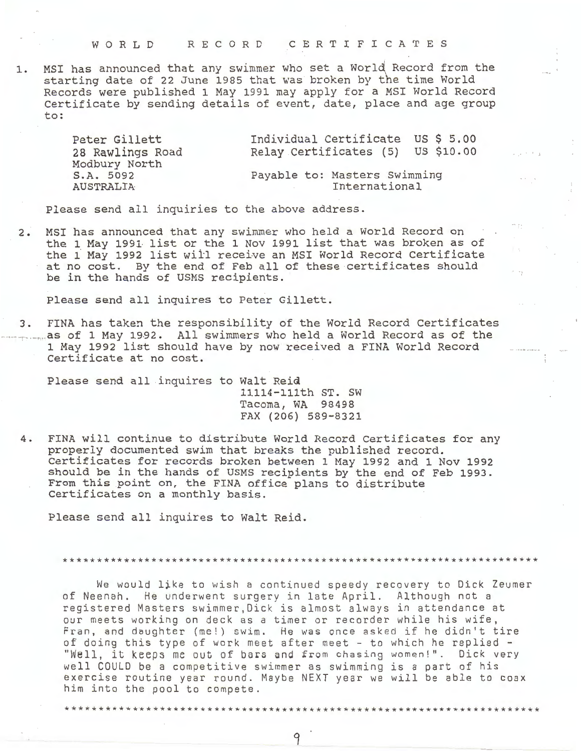WORLD RECORD CERTIFICATES

1. MSI has announced that any swimmer who set a World Record from the starting date of 22 June 1985 that was broken by the time World Records were published 1 May 1991 may apply for a MSI World Record Certificate by sending details of event, date, place and age group to:

> Individual Certificate US \$ 5.00 Peter Gillett 28 Rawlings Road Relay Certificates (5) US \$10.00 Modbury North S.A. 5092 Payable to: Masters Swimming **AUSTRALIA** International

Please send all inquiries to the above address.

MSI has announced that any swimmer who held a World Record on  $2.$ the 1 May 1991 list or the 1 Nov 1991 list that was broken as of the 1 May 1992 list will receive an MSI World Record Certificate at no cost. By the end of Feb all of these certificates should be in the hands of USMS recipients.

Please send all inquires to Peter Gillett.

3. FINA has taken the responsibility of the World Record Certificates .... as of 1 May 1992. All swimmers who held a World Record as of the 1 May 1992 list should have by now received a FINA World Record Certificate at no cost.

Please send all inquires to Walt Reid

11114-111th ST. SW Tacoma, WA 98498 FAX (206) 589-8321 na:

4. FINA will continue to distribute World Record Certificates for any properly documented swim that breaks the published record. Certificates for records broken between 1 May 1992 and 1 Nov 1992 should be in the hands of USMS recipients by the end of Feb 1993. From this point on, the FINA office plans to distribute Certificates on a monthly basis.

Please send all inquires to Walt Reid.

We would like to wish a continued speedy recovery to Dick Zeumer of Neenah. He underwent surgery in late April. Although not a registered Masters swimmer,Dick is almost always in attendance at our meets working on deck as a timer or recorder while his wife, Fran, and daughter (me!) swim. He was once asked if he didn't tire of doing this type of work meet after meet - to which he replied -"Well, it keeps me out of bars and from chasing women!". Dick very well COULD be a competitive swimmer as swimming is a part of his exercise routine year round. Maybe NEXT year we will be able to coax him into the pool to compete.